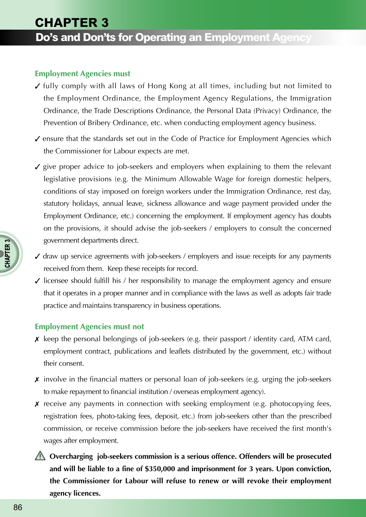## **Employment Agencies must**

- $\checkmark$  fully comply with all laws of Hong Kong at all times, including but not limited to the Employment Ordinance, the Employment Agency Regulations, the Immigration Ordinance, the Trade Descriptions Ordinance, the Personal Data (Privacy) Ordinance, the Prevention of Bribery Ordinance, etc. when conducting employment agency business.
- $\checkmark$  ensure that the standards set out in the Code of Practice for Employment Agencies which the Commissioner for Labour expects are met.
- statutory holidays, annual leave, sickness allowance and wage payment provided under the Employment Ordinance, etc.) concerning the employment. If employment agency has doubts government departments direct.  $\angle$  give proper advice to job-seekers and employers when explaining to them the relevant legislative provisions (e.g. the Minimum Allowable Wage for foreign domestic helpers, conditions of stay imposed on foreign workers under the Immigration Ordinance, rest day, on the provisions, it should advise the job-seekers / employers to consult the concerned
- $\checkmark$  draw up service agreements with job-seekers / employers and issue receipts for any payments received from them. Keep these receipts for record.
- $\checkmark$  licensee should fulfill his / her responsibility to manage the employment agency and ensure that it operates in a proper manner and in compliance with the laws as well as adopts fair trade practice and maintains transparency in business operations.

## **Employment Agencies must not**

- $\boldsymbol{\mathsf{x}}$  keep the personal belongings of job-seekers (e.g. their passport / identity card, ATM card, employment contract, publications and leaflets distributed by the government, etc.) without their consent.
- $\boldsymbol{\mathsf{x}}$  involve in the financial matters or personal loan of job-seekers (e.g. urging the job-seekers to make repayment to financial institution / overseas employment agency).
- $\boldsymbol{\chi}$  receive any payments in connection with seeking employment (e.g. photocopying fees, registration fees, photo-taking fees, deposit, etc.) from job-seekers other than the prescribed commission, or receive commission before the job-seekers have received the first month's wages after employment.
- **Overcharging job-seekers commission is a serious offence. Offenders will be prosecuted and will be liable to a fine of \$350,000 and imprisonment for 3 years. Upon conviction, the Commissioner for Labour will refuse to renew or will revoke their employment agency licences.**